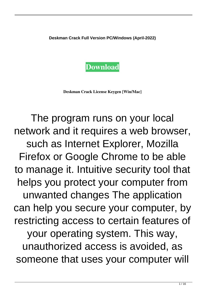**Deskman Crack Full Version PC/Windows (April-2022)**



**Deskman Crack License Keygen [Win/Mac]**

The program runs on your local network and it requires a web browser, such as Internet Explorer, Mozilla Firefox or Google Chrome to be able to manage it. Intuitive security tool that helps you protect your computer from unwanted changes The application can help you secure your computer, by restricting access to certain features of your operating system. This way, unauthorized access is avoided, as someone that uses your computer will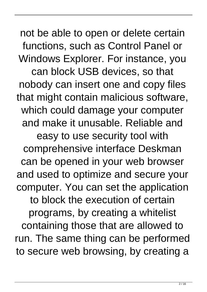not be able to open or delete certain functions, such as Control Panel or Windows Explorer. For instance, you can block USB devices, so that nobody can insert one and copy files that might contain malicious software, which could damage your computer and make it unusable. Reliable and easy to use security tool with comprehensive interface Deskman can be opened in your web browser and used to optimize and secure your computer. You can set the application to block the execution of certain programs, by creating a whitelist containing those that are allowed to run. The same thing can be performed to secure web browsing, by creating a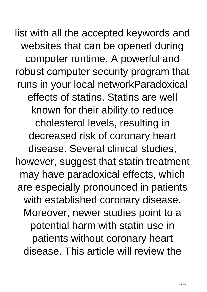list with all the accepted keywords and websites that can be opened during computer runtime. A powerful and robust computer security program that runs in your local networkParadoxical effects of statins. Statins are well known for their ability to reduce cholesterol levels, resulting in decreased risk of coronary heart disease. Several clinical studies, however, suggest that statin treatment may have paradoxical effects, which are especially pronounced in patients with established coronary disease. Moreover, newer studies point to a potential harm with statin use in patients without coronary heart disease. This article will review the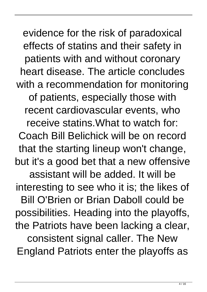evidence for the risk of paradoxical effects of statins and their safety in patients with and without coronary heart disease. The article concludes with a recommendation for monitoring of patients, especially those with recent cardiovascular events, who receive statins.What to watch for: Coach Bill Belichick will be on record that the starting lineup won't change, but it's a good bet that a new offensive assistant will be added. It will be interesting to see who it is; the likes of Bill O'Brien or Brian Daboll could be possibilities. Heading into the playoffs, the Patriots have been lacking a clear, consistent signal caller. The New England Patriots enter the playoffs as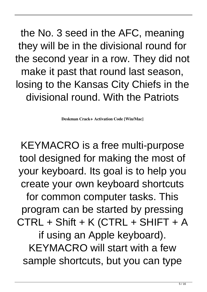the No. 3 seed in the AFC, meaning they will be in the divisional round for the second year in a row. They did not make it past that round last season, losing to the Kansas City Chiefs in the divisional round. With the Patriots

**Deskman Crack+ Activation Code [Win/Mac]**

KEYMACRO is a free multi-purpose tool designed for making the most of your keyboard. Its goal is to help you create your own keyboard shortcuts for common computer tasks. This program can be started by pressing CTRL + Shift + K (CTRL + SHIFT + A if using an Apple keyboard). KEYMACRO will start with a few sample shortcuts, but you can type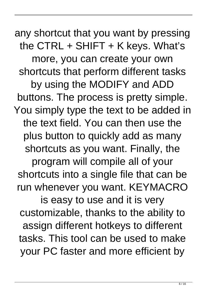any shortcut that you want by pressing the CTRL  $+$  SHIFT  $+$  K keys. What's more, you can create your own shortcuts that perform different tasks by using the MODIFY and ADD buttons. The process is pretty simple. You simply type the text to be added in the text field. You can then use the plus button to quickly add as many shortcuts as you want. Finally, the program will compile all of your shortcuts into a single file that can be run whenever you want. KEYMACRO is easy to use and it is very customizable, thanks to the ability to assign different hotkeys to different tasks. This tool can be used to make your PC faster and more efficient by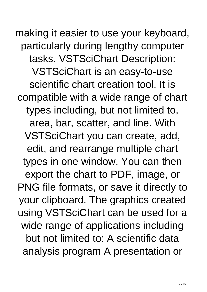making it easier to use your keyboard, particularly during lengthy computer tasks. VSTSciChart Description: VSTSciChart is an easy-to-use scientific chart creation tool. It is compatible with a wide range of chart types including, but not limited to, area, bar, scatter, and line. With VSTSciChart you can create, add, edit, and rearrange multiple chart types in one window. You can then export the chart to PDF, image, or PNG file formats, or save it directly to your clipboard. The graphics created using VSTSciChart can be used for a wide range of applications including but not limited to: A scientific data analysis program A presentation or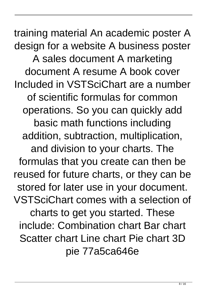training material An academic poster A design for a website A business poster A sales document A marketing document A resume A book cover Included in VSTSciChart are a number of scientific formulas for common operations. So you can quickly add basic math functions including addition, subtraction, multiplication, and division to your charts. The formulas that you create can then be reused for future charts, or they can be stored for later use in your document. VSTSciChart comes with a selection of charts to get you started. These include: Combination chart Bar chart Scatter chart Line chart Pie chart 3D pie 77a5ca646e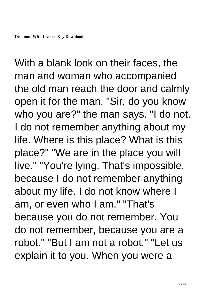With a blank look on their faces, the man and woman who accompanied the old man reach the door and calmly open it for the man. "Sir, do you know who you are?" the man says. "I do not. I do not remember anything about my life. Where is this place? What is this place?" "We are in the place you will live." "You're lying. That's impossible, because I do not remember anything about my life. I do not know where I am, or even who I am." "That's because you do not remember. You do not remember, because you are a robot." "But I am not a robot." "Let us explain it to you. When you were a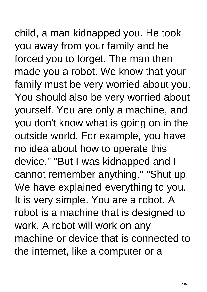## child, a man kidnapped you. He took you away from your family and he forced you to forget. The man then made you a robot. We know that your family must be very worried about you. You should also be very worried about yourself. You are only a machine, and you don't know what is going on in the outside world. For example, you have no idea about how to operate this device." "But I was kidnapped and I cannot remember anything." "Shut up. We have explained everything to you. It is very simple. You are a robot. A robot is a machine that is designed to work. A robot will work on any machine or device that is connected to the internet, like a computer or a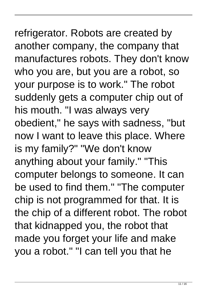## refrigerator. Robots are created by another company, the company that manufactures robots. They don't know who you are, but you are a robot, so your purpose is to work." The robot suddenly gets a computer chip out of his mouth. "I was always very obedient," he says with sadness, "but now I want to leave this place. Where is my family?" "We don't know anything about your family." "This computer belongs to someone. It can

be used to find them." "The computer chip is not programmed for that. It is the chip of a different robot. The robot that kidnapped you, the robot that made you forget your life and make you a robot." "I can tell you that he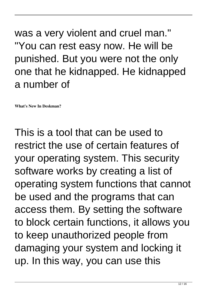was a very violent and cruel man." "You can rest easy now. He will be punished. But you were not the only one that he kidnapped. He kidnapped a number of

**What's New In Deskman?**

This is a tool that can be used to restrict the use of certain features of your operating system. This security software works by creating a list of operating system functions that cannot be used and the programs that can access them. By setting the software to block certain functions, it allows you to keep unauthorized people from damaging your system and locking it up. In this way, you can use this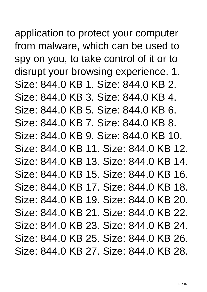## application to protect your computer from malware, which can be used to spy on you, to take control of it or to disrupt your browsing experience. 1. Size: 844.0 KB 1. Size: 844.0 KB 2. Size: 844.0 KB 3. Size: 844.0 KB 4. Size: 844.0 KB 5. Size: 844.0 KB 6. Size: 844.0 KB 7. Size: 844.0 KB 8. Size: 844.0 KB 9. Size: 844.0 KB 10. Size: 844.0 KB 11. Size: 844.0 KB 12. Size: 844.0 KB 13. Size: 844.0 KB 14. Size: 844.0 KB 15. Size: 844.0 KB 16. Size: 844.0 KB 17. Size: 844.0 KB 18. Size: 844.0 KB 19. Size: 844.0 KB 20. Size: 844.0 KB 21. Size: 844.0 KB 22. Size: 844.0 KB 23. Size: 844.0 KB 24. Size: 844.0 KB 25. Size: 844.0 KB 26. Size: 844.0 KB 27. Size: 844.0 KB 28.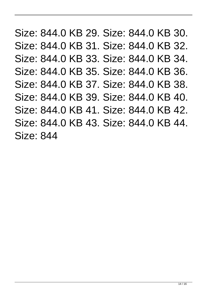Size: 844.0 KB 29. Size: 844.0 KB 30. Size: 844.0 KB 31. Size: 844.0 KB 32. Size: 844.0 KB 33. Size: 844.0 KB 34. Size: 844.0 KB 35. Size: 844.0 KB 36. Size: 844.0 KB 37. Size: 844.0 KB 38. Size: 844.0 KB 39. Size: 844.0 KB 40. Size: 844.0 KB 41. Size: 844.0 KB 42. Size: 844.0 KB 43. Size: 844.0 KB 44. Size: 844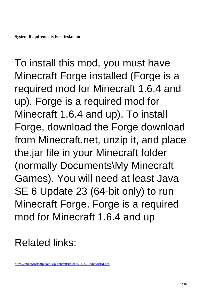To install this mod, you must have Minecraft Forge installed (Forge is a required mod for Minecraft 1.6.4 and up). Forge is a required mod for Minecraft 1.6.4 and up). To install Forge, download the Forge download from Minecraft.net, unzip it, and place the.jar file in your Minecraft folder (normally Documents\My Minecraft Games). You will need at least Java SE 6 Update 23 (64-bit only) to run Minecraft Forge. Forge is a required mod for Minecraft 1.6.4 and up

## Related links:

<https://indiatownship.com/wp-content/uploads/2022/06/haydfrid.pdf>